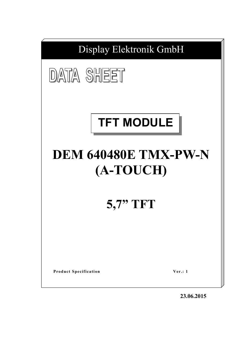

**23.06.2015**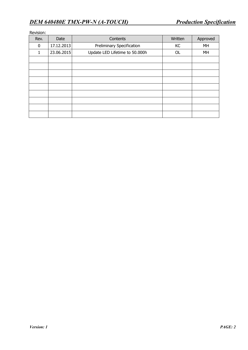| Rev. | Date       | Contents                       | Written | Approved |
|------|------------|--------------------------------|---------|----------|
| 0    | 17.12.2013 | Preliminary Specification      | KC      | MH       |
| 1    | 23.06.2015 | Update LED Lifetime to 50.000h | OL      | MH       |
|      |            |                                |         |          |
|      |            |                                |         |          |
|      |            |                                |         |          |
|      |            |                                |         |          |
|      |            |                                |         |          |
|      |            |                                |         |          |
|      |            |                                |         |          |
|      |            |                                |         |          |
|      |            |                                |         |          |

## Revision: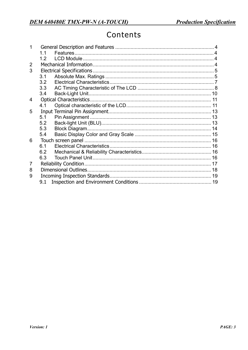# Contents

|                | 11  |  |
|----------------|-----|--|
|                | 12  |  |
| $\overline{2}$ |     |  |
| 3              |     |  |
|                | 3.1 |  |
|                | 3.2 |  |
|                | 3.3 |  |
|                | 3.4 |  |
| 4              |     |  |
|                | 4.1 |  |
| 5              |     |  |
|                | 5.1 |  |
|                | 5.2 |  |
|                | 5.3 |  |
|                | 5.4 |  |
| 6              |     |  |
|                | 6.1 |  |
|                | 6.2 |  |
|                | 6.3 |  |
| 7              |     |  |
| 8              |     |  |
| 9              |     |  |
|                | 9.1 |  |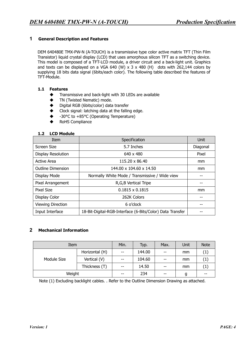# **1 General Description and Features**

DEM 640480E TMX-PW-N (A-TOUCH) is a transmissive type color active matrix TFT (Thin Film Transistor) liquid crystal display (LCD) that uses amorphous silicon TFT as a switching device. This model is composed of a TFT-LCD module, a driver circuit and a back-light unit. Graphics and texts can be displayed on a VGA 640 (W) x 3 x 480 (H) dots with 262,144 colors by supplying 18 bits data signal (6bits/each color). The following table described the features of TFT-Module.

#### **1.1 Features**

- $\blacklozenge$  Transmissive and back-light with 30 LEDs are available
- TN (Twisted Nematic) mode.
- ◆ Digital RGB (6bits/color) data transfer
- Clock signal: latching data at the falling edge.
- -30°C to +85°C (Operating Temperature)
- RoHS Compliance

#### **1.2 LCD Module**

| <b>Item</b>              | Specification                                             | Unit     |
|--------------------------|-----------------------------------------------------------|----------|
| Screen Size              | 5.7 Inches                                                | Diagonal |
| Display Resolution       | 640 x 480                                                 | Pixel    |
| <b>Active Area</b>       | 115,20 x 86,40                                            | mm.      |
| <b>Outline Dimension</b> | 144.00 x 104.60 x 14.50                                   | mm       |
| Display Mode             | Normally White Mode / Transmissive / Wide view            |          |
| Pixel Arrangement        | R, G, B Vertical Tripe                                    |          |
| Pixel Size               | $0.1815 \times 0.1815$                                    | mm       |
| Display Color            | 262K Colors                                               |          |
| <b>Viewing Direction</b> | 6 o'clock                                                 |          |
| Input Interface          | 18-Bit-Digital-RGB-Interface (6-Bits/Color) Data Transfer |          |

## **2 Mechanical Information**

| Item        | Min.           | Typ.  | Max.   | Unit                     | <b>Note</b> |      |
|-------------|----------------|-------|--------|--------------------------|-------------|------|
|             | Horizontal (H) | $- -$ | 144.00 | $- -$                    | mm          | (1)  |
| Module Size | Vertical (V)   | $- -$ | 104.60 | $\overline{\phantom{m}}$ | mm          | (1)  |
|             | Thickness (T)  | --    | 14.50  | $- -$                    | mm          | ( L  |
| Weight      |                | --    | 234    | $- -$                    | g           | $ -$ |

Note (1) Excluding backlight cables. . Refer to the Outline Dimension Drawing as attached.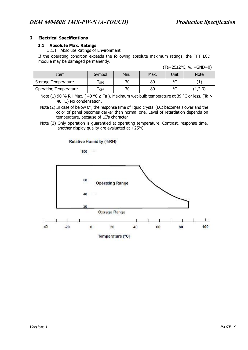#### **3 Electrical Specifications**

#### **3.1 Absolute Max. Ratings**

3.1.1 Absolute Ratings of Environment

If the operating condition exceeds the following absolute maximum ratings, the TFT LCD module may be damaged permanently.

|                              |            |       |      |         | ( ia−∠J⊥∠ ∪, vss−∪ivD−0) |
|------------------------------|------------|-------|------|---------|--------------------------|
| Item                         | Symbol     | Min.  | Max. | Unit    | <b>Note</b>              |
| Storage Temperature          | <b>STG</b> | $-30$ | 80   | $\circ$ |                          |
| <b>Operating Temperature</b> | <b>OPR</b> | -30   | 80   | $\circ$ | (1,2,3)                  |

 $(Ta=25+2$ °C, Vss=GND=0)

Note (1) 90 % RH Max. (40 °C  $\geq$  Ta ). Maximum wet-bulb temperature at 39 °C or less. (Ta  $>$ 40 °C) No condensation.

Note (2) In case of below  $0^{\circ}$ , the response time of liquid crystal (LC) becomes slower and the color of panel becomes darker than normal one. Level of retardation depends on temperature, because of LC's character

Note (3) Only operation is guarantied at operating temperature. Contrast, response time, another display quality are evaluated at +25°C.

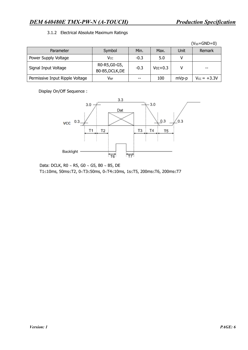# *DEM 640480E TMX-PW-N (A-TOUCH) Production Specification*

#### 3.1.2 Electrical Absolute Maximum Ratings

|                                 |                                  |        |           |       | $(V_{SS}=GND=0)$ |
|---------------------------------|----------------------------------|--------|-----------|-------|------------------|
| Parameter                       | Symbol                           | Min.   | Max.      | Unit  | Remark           |
| Power Supply Voltage            | Vcc                              | $-0.3$ | 5.0       |       |                  |
| Signal Input Voltage            | R0-R5, G0-G5,<br>B0-B5, DCLK, DE | $-0.3$ | $Vcc+0.3$ |       |                  |
| Permissive Input Ripple Voltage | $\mathsf{V}_{\mathsf{RF}}$       | --     | 100       | mVp-p | $V_{CC} = +3.3V$ |

Display On/Off Sequence :



Data: DCLK, R0 ~ R5, G0 ~ G5, B0 ~ B5, DE T1£10ms, 50ms£T2, 0<T3£50ms, 0<T4£10ms, 1s£T5, 200ms£T6, 200ms£T7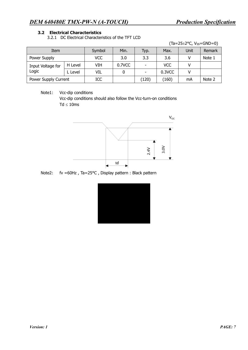## **3.2 Electrical Characteristics**

3.2.1 DC Electrical Characteristics of the TFT LCD

 $(Ta=25\pm2\degree C, V_{SS}=GND=0)$ 

| Item                       |         | Symbol     | Min.   | Typ.  | Max.       | Unit | Remark |
|----------------------------|---------|------------|--------|-------|------------|------|--------|
| Power Supply               |         | <b>VCC</b> | 3.0    | 3.3   | 3.6        |      | Note 1 |
| Input Voltage for<br>Logic | H Level | VIH        | 0.7VCC |       | <b>VCC</b> |      |        |
|                            | L Level | VIL        |        | ۰     | 0.3VCC     |      |        |
| Power Supply Current       |         | ICC        |        | (120) | (160)      | mA   | Note 2 |

Note1: Vcc-dip conditions

Vcc-dip conditions should also follow the Vcc-turn-on conditions  $Td \leq 10$ ms



Note2: fv =60Hz , Ta=25°C , Display pattern : Black pattern

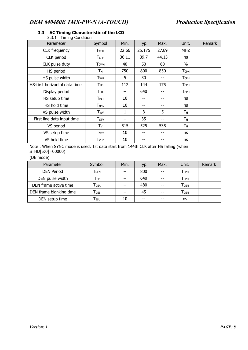| J.J. 1.<br><b>THILIP CONTROL</b> |                         |       |        |       |                         |        |
|----------------------------------|-------------------------|-------|--------|-------|-------------------------|--------|
| Parameter                        | Symbol                  | Min.  | Typ.   | Max.  | Unit.                   | Remark |
| <b>CLK</b> frequency             | FCPH                    | 22.66 | 25.175 | 27.69 | MHZ.                    |        |
| CLK period                       | Тсрн                    | 36.11 | 39.7   | 44.13 | ns                      |        |
| CLK pulse duty                   | <b>T</b> <sub>CWH</sub> | 40    | 50     | 60    | $\%$                    |        |
| HS period                        | Τн                      | 750   | 800    | 850   | <b>TCPH</b>             |        |
| HS pulse width                   | <b>T</b> <sub>WH</sub>  | 5     | 30     | --    | <b>T</b> <sub>CPH</sub> |        |
| HS-first horizontal data time    | $T$ HS                  | 112   | 144    | 175   | <b>TCPH</b>             |        |
| Display period                   | Тна                     |       | 640    | --    | <b>TCPH</b>             |        |
| HS setup time                    | <b>THST</b>             | 10    |        |       | ns                      |        |
| HS hold time                     | Тнно                    | 10    |        | --    | ns                      |        |
| VS pulse width                   | Twv                     | 1     | 3      | 5     | Τн                      |        |
| First line data input time       | T <sub>STV</sub>        | --    | 35     | --    | Τн                      |        |
| VS period                        | $T_V$                   | 515   | 525    | 535   | Τн                      |        |
| VS setup time                    | <b>T</b> <sub>VST</sub> | 10    | --     | --    | ns                      |        |
| VS hold time                     | <b>T</b> <sub>VHD</sub> | 10    |        |       | ns                      |        |

#### **3.3 AC Timing Characteristic of the LCD**  3.3.1 Timing Condition

Note : When SYNC mode is used, 1st data start from 144th CLK after HS falling (when STHD[5:0]=00000)

(DE mode)

| Parameter               | Symbol                      | Min.  | Typ. | Max. | Unit.                   | <b>Remark</b> |
|-------------------------|-----------------------------|-------|------|------|-------------------------|---------------|
| <b>DEN Period</b>       | Tden                        |       | 800  | --   | <b>TCPH</b>             |               |
| DEN pulse width         | T <sub>EP</sub>             | $- -$ | 640  | --   | <b>TCPH</b>             |               |
| DEN frame active time   | $T_{\mathsf{DEA}}$          |       | 480  | --   | <b>T</b> <sub>DEN</sub> |               |
| DEN frame blanking time | Трев                        |       | 45   | --   | <b>T</b> <sub>DEN</sub> |               |
| DEN setup time          | $\mathsf{T}_{\mathsf{ESU}}$ | 10    | --   | --   | ns                      |               |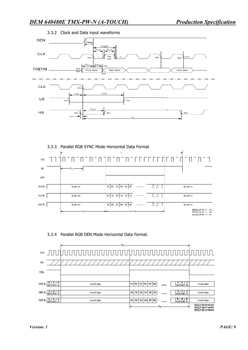



# 3.3.4 Parallel RGB DEN Mode Horizontal Data Format.

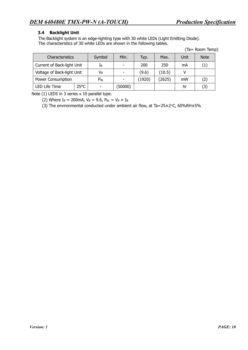# **3.4 Backlight Unit**

The Backlight system is an edge-lighting type with 30 white LEDs (Light Emitting Diode). The characteristics of 30 white LEDs are shown in the following tables.

(Ta= Room Temp)

| Characteristics                 |  | Symbol   | Min.                     | Typ.   | Max.   | Unit | <b>Note</b> |
|---------------------------------|--|----------|--------------------------|--------|--------|------|-------------|
| Current of Back-light Unit      |  | Iв       |                          | 200    | 250    | mA   | (1)         |
| Voltage of Back-light Unit      |  | Vв       | $\overline{\phantom{0}}$ | (9.6)  | (10.5) |      |             |
| Power Consumption               |  | $P_{BL}$ |                          | (1920) | (2625) | mW   | (2)         |
| $25^{\circ}$ C<br>LED Life Time |  |          | (50000)                  |        |        | hr   | (3)         |

Note (1) LEDS in 3 series x 10 parallel type.

(2) Where  $I_B = 200 \text{mA}$ ,  $V_B = 9.6$ ,  $P_{BL} = V_B \times I_B$ 

(3) The environmental conducted under ambient air flow, at Ta=25±2°C, 60%RH±5%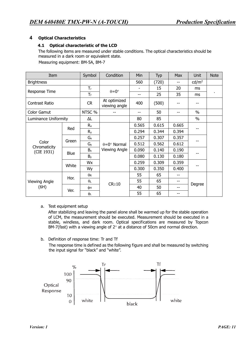# **4 Optical Characteristics**

#### **4.1 Optical characteristic of the LCD**

The following items are measured under stable conditions. The optical characteristics should be measured in a dark room or equivalent state.

Measuring equipment: BM-5A, BM-7

| Item                 |                                      | Symbol                    | Condition                     | Min   | Typ   | <b>Max</b> | Unit              | <b>Note</b> |
|----------------------|--------------------------------------|---------------------------|-------------------------------|-------|-------|------------|-------------------|-------------|
| <b>Brightness</b>    |                                      |                           |                               | 560   | (720) | --         | cd/m <sup>2</sup> |             |
| Response Time        |                                      | $T_r$                     | $\theta = 0^{\circ}$          |       | 15    | 20         | <sub>ms</sub>     |             |
|                      |                                      | $T_f$                     |                               | $-$   | 25    | 35         | ms                |             |
| Contrast Ratio       |                                      | <b>CR</b>                 | At optimized<br>viewing angle | 400   | (500) |            |                   |             |
| Color Gamut          |                                      | NTSC %                    |                               | $-$   | 50    |            | $\%$              |             |
| Luminance Uniformity |                                      | ΔL                        |                               | 80    | 85    |            | $\frac{0}{0}$     |             |
|                      | Red                                  | $R_{x}$                   |                               | 0.565 | 0.615 | 0.665      |                   |             |
|                      |                                      | $R_{y}$                   |                               | 0.294 | 0.344 | 0.394      |                   |             |
|                      | $G_{x}$<br>Green<br>Color<br>$G_{y}$ |                           |                               | 0.257 | 0.307 | 0.357      |                   |             |
| Chromaticity         |                                      | $\theta = 0^\circ$ Normal | 0.512                         | 0.562 | 0.612 |            |                   |             |
| (CIE 1931)           | Blue                                 | B <sub>x</sub>            | Viewing Angle                 | 0.090 | 0.140 | 0.190      |                   |             |
|                      |                                      | $B_y$                     |                               | 0.080 | 0.130 | 0.180      |                   |             |
|                      | White                                | Wx                        |                               | 0.259 | 0.309 | 0.359      |                   |             |
|                      |                                      | Wy                        |                               | 0.300 | 0.350 | 0.400      |                   |             |
|                      | Hor.                                 | $\theta$ r                |                               | 55    | 65    |            |                   |             |
| Viewing Angle        |                                      | $\theta$ L                |                               | 55    | 65    | --         |                   |             |
| (6H)                 | Ver.                                 | φн                        | $CR \ge 10$                   | 40    | 50    | --         | Degree            |             |
|                      |                                      | φL                        |                               | 55    | 65    | --         |                   |             |

a. Test equipment setup

After stabilizing and leaving the panel alone shall be warmed up for the stable operation of LCM, the measurement should be executed. Measurement should be executed in a stable, windless, and dark room. Optical specifications are measured by Topcon BM-7(fast) with a viewing angle of 2° at a distance of 50cm and normal direction.

b. Definition of response time: Tr and Tf The response time is defined as the following figure and shall be measured by switching the input signal for "black" and "white".

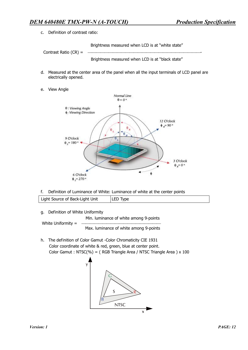c. Definition of contrast ratio:

Brightness measured when LCD is at "white state"

Contrast Ratio (CR) =

Brightness measured when LCD is at "black state"

- d. Measured at the center area of the panel when all the input terminals of LCD panel are electrically opened.
- e. View Angle



f. Definition of Luminance of White: Luminance of white at the center points

| Light Source of Back-Light Unit | LED Type |
|---------------------------------|----------|
|                                 |          |

g. Definition of White Uniformity

White Uniformity  $=$ 

Min. luminance of white among 9-points

Max. luminance of white among 9-points

h. The definition of Color Gamut -Color Chromaticity CIE 1931 Color coordinate of white & red, green, blue at center point. Color Gamut : NTSC(%) = ( RGB Triangle Area / NTSC Triangle Area ) x 100

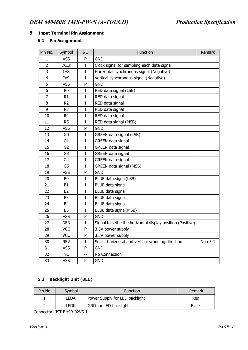#### **5 Input Terminal Pin Assignment**

#### **5.1 Pin Assignment**

| Pin No.        | Symbol         | I/O            | Function                                                    | Remark  |
|----------------|----------------|----------------|-------------------------------------------------------------|---------|
| 1              | <b>VSS</b>     | P              | <b>GND</b>                                                  |         |
| $\overline{2}$ | <b>DCLK</b>    | $\mathbf I$    | Clock signal for sampling each data signal                  |         |
| 3              | <b>IHS</b>     | $\mathbf I$    | Horizontal synchronous signal (Negative)                    |         |
| $\overline{4}$ | <b>IVS</b>     | $\bf I$        | Vertical synchronous signal (Negative)                      |         |
| 5              | <b>VSS</b>     | ${\sf P}$      | <b>GND</b>                                                  |         |
| 6              | R <sub>0</sub> | $\mathbf I$    | RED data signal (LSB)                                       |         |
| $\overline{7}$ | R1             | $\mathbf I$    | RED data signal                                             |         |
| 8              | R <sub>2</sub> | $\rm I$        | RED data signal                                             |         |
| 9              | R <sub>3</sub> | $\bf{I}$       | RED data signal                                             |         |
| 10             | R <sub>4</sub> | $\bf I$        | RED data signal                                             |         |
| 11             | R <sub>5</sub> | $\mathbf I$    | RED data signal (MSB)                                       |         |
| 12             | <b>VSS</b>     | P              | <b>GND</b>                                                  |         |
| 13             | G <sub>0</sub> | $\bf I$        | GREEN data signal (LSB)                                     |         |
| 14             | G <sub>1</sub> | $\bf I$        | <b>GREEN</b> data signal                                    |         |
| 15             | G <sub>2</sub> | $\bf I$        | <b>GREEN</b> data signal                                    |         |
| 16             | G <sub>3</sub> | $\mathbf I$    | <b>GREEN</b> data signal                                    |         |
| 17             | G <sub>4</sub> | $\mathbf I$    | <b>GREEN</b> data signal                                    |         |
| 18             | G <sub>5</sub> | $\bf I$        | GREEN data signal (MSB)                                     |         |
| 19             | <b>VSS</b>     | P              | <b>GND</b>                                                  |         |
| 20             | B <sub>0</sub> | $\rm I$        | BLUE data signal(LSB)                                       |         |
| 21             | B1             | $\mathbf I$    | <b>BLUE</b> data signal                                     |         |
| 22             | <b>B2</b>      | $\mathbf I$    | <b>BLUE data signal</b>                                     |         |
| 23             | B <sub>3</sub> | $\bf I$        | <b>BLUE</b> data signal                                     |         |
| 24             | B <sub>4</sub> | $\bf I$        | <b>BLUE</b> data signal                                     |         |
| 25             | <b>B5</b>      | $\bf I$        | BLUE data signal(MSB)                                       |         |
| 26             | <b>VSS</b>     | P              | <b>GND</b>                                                  |         |
| 27             | <b>DEN</b>     | $\mathbf I$    | Signal to settle the horizontal display position (Positive) |         |
| 28             | <b>VCC</b>     | P              | 3.3V power supply                                           |         |
| 29             | <b>VCC</b>     | P              | 3.3V power supply                                           |         |
| 30             | <b>REV</b>     | $\rm I$        | Select horizontal and vertical scanning direction.          | Note5-1 |
| 31             | <b>VSS</b>     | P              | <b>GND</b>                                                  |         |
| 32             | <b>NC</b>      | $\overline{a}$ | No Connection                                               |         |
| 33             | <b>VSS</b>     | P              | <b>GND</b>                                                  |         |

# **5.2 Backlight Unit (BLU)**

| Pin No. | Symbol | <b>Function</b>                | Remark |
|---------|--------|--------------------------------|--------|
|         | LEDA   | Power Supply for LED backlight | Red    |
|         | ledk   | GND for LED backlight          | Black  |

Connector: JST BHSR-02VS-1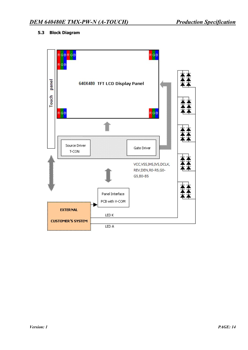# **5.3 Block Diagram**

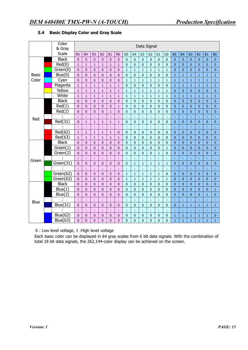|              | Color        | Data Signal    |                |                |                |                |                |                |                |                |                |              |                |                |                |                |                |                |              |
|--------------|--------------|----------------|----------------|----------------|----------------|----------------|----------------|----------------|----------------|----------------|----------------|--------------|----------------|----------------|----------------|----------------|----------------|----------------|--------------|
|              | & Gray       |                |                |                |                |                |                |                |                |                |                |              |                |                |                |                |                |                |              |
|              | Scale        | R <sub>5</sub> | R <sub>4</sub> | R <sub>3</sub> | R <sub>2</sub> | R1             | R <sub>0</sub> | G <sub>5</sub> | G <sub>4</sub> | G <sub>3</sub> | G <sub>2</sub> | G1           | G <sub>0</sub> | <b>B5</b>      | <b>B4</b>      | B <sub>3</sub> | B <sub>2</sub> | <b>B1</b>      | <b>B0</b>    |
|              | <b>Black</b> | $\mathbf 0$    | $\overline{0}$ | $\overline{0}$ | $\overline{0}$ | $\overline{0}$ | $\overline{0}$ | $\mathbf 0$    | $\mathbf 0$    | $\overline{0}$ | $\mathbf{0}$   | $\mathbf 0$  | $\overline{0}$ | $\mathbf{0}$   | $\mathbf{0}$   | $\overline{0}$ | $\mathbf{0}$   | $\overline{0}$ | $\pmb{0}$    |
|              | Red(0)       | $\mathbf{1}$   | $\mathbf{1}$   | $\mathbf{1}$   | $\mathbf{1}$   | $\mathbf{1}$   | $\mathbf{1}$   | $\pmb{0}$      | $\mathbf{0}$   | $\overline{0}$ | $\pmb{0}$      | $\mathbf 0$  | 0              | $\overline{0}$ | $\mathbf{0}$   | $\mathbf{0}$   | $\mathbf{0}$   | $\mathbf{0}$   | $\pmb{0}$    |
|              | Green(0)     | $\mathbf{0}$   | $\mathbf{0}$   | $\mathbf{0}$   | $\pmb{0}$      | $\pmb{0}$      | $\mathbf 0$    | $\mathbf 1$    | $\mathbf 1$    | $\mathbf 1$    | $\mathbf{1}$   | $\mathbf 1$  | $\mathbf{1}$   | $\overline{0}$ | $\bf{0}$       | $\mathbf{0}$   | $\bf{0}$       | $\bf{0}$       | $\pmb{0}$    |
| <b>Basic</b> | Blue(0)      | $\overline{0}$ | $\overline{0}$ | $\overline{0}$ | $\overline{0}$ | $\mathbf 0$    | $\mathbf 0$    | $\overline{0}$ | $\overline{0}$ | $\overline{0}$ | $\overline{0}$ | $\mathbf 0$  | 0              | $\mathbf{1}$   | $\mathbf{1}$   | $\mathbf{1}$   | $\mathbf{1}$   | $\mathbf{1}$   | $\mathbf{1}$ |
| Color        | Cyan         | $\mathbf{0}$   | $\mathbf{0}$   | $\mathbf{0}$   | $\mathbf{0}$   | $\mathbf{0}$   | $\mathbf{0}$   | $\mathbf{1}$   | $\mathbf{1}$   | $\mathbf{1}$   | $\mathbf{1}$   | $\mathbf{1}$ | $\mathbf{1}$   | $\mathbf{1}$   | $\mathbf 1$    | $\mathbf{1}$   | $\mathbf{1}$   | $\mathbf{1}$   | $\mathbf{1}$ |
|              | Magenta      | $\mathbf{1}$   | $\mathbf 1$    | $\mathbf{1}$   | $\mathbf{1}$   | $\mathbf{1}$   | $\mathbf{1}$   | $\mathbf 0$    | $\overline{0}$ | $\mathbf 0$    | $\overline{0}$ | $\mathbf 0$  | 0              | $\mathbf{1}$   | $\mathbf 1$    | $\mathbf 1$    | $\mathbf{1}$   | $\mathbf{1}$   | $\mathbf{1}$ |
|              | Yellow       | $\mathbf{1}$   | $\mathbf 1$    | $\mathbf{1}$   | $\mathbf{1}$   | $\mathbf{1}$   | $\mathbf{1}$   | $\mathbf{1}$   | $\mathbf{1}$   | $\mathbf{1}$   | $\mathbf{1}$   | $\mathbf{1}$ | $\mathbf{1}$   | $\overline{0}$ | $\bf{0}$       | $\overline{0}$ | $\mathbf{0}$   | $\overline{0}$ | $\pmb{0}$    |
|              | White        | $\mathbf{1}$   | $\mathbf{1}$   | $\mathbf{1}$   | $\mathbf{1}$   | $\mathbf{1}$   | $\mathbf{1}$   | $\mathbf 1$    | $\mathbf{1}$   | $\mathbf{1}$   | $\mathbf{1}$   | $\mathbf{1}$ | $\mathbf{1}$   | $\mathbf{1}$   | $\mathbf 1$    | $\mathbf{1}$   | $\mathbf{1}$   | $\mathbf{1}$   | $\mathbf{1}$ |
|              | <b>Black</b> | $\mathbf{0}$   | $\overline{0}$ | $\overline{0}$ | $\overline{0}$ | $\overline{0}$ | $\overline{0}$ | $\mathbf 0$    | $\mathbf{0}$   | $\mathbf 0$    | $\overline{0}$ | $\mathbf 0$  | 0              | $\overline{0}$ | $\pmb{0}$      | $\mathbf{0}$   | $\mathbf{0}$   | $\overline{0}$ | $\pmb{0}$    |
|              | Red(1)       | $\pmb{0}$      | $\overline{0}$ | $\overline{0}$ | $\overline{0}$ | $\pmb{0}$      | $\mathbf{1}$   | $\pmb{0}$      | $\overline{0}$ | $\overline{0}$ | $\overline{0}$ | $\pmb{0}$    | $\overline{0}$ | $\overline{0}$ | $\bf{0}$       | $\overline{0}$ | $\pmb{0}$      | $\overline{0}$ | $\pmb{0}$    |
|              | Red(2)       | $\overline{0}$ | $\overline{0}$ | $\mathbf{0}$   | $\overline{0}$ | $\mathbf{1}$   | $\mathbf 0$    | 0              | $\overline{0}$ | $\mathbf 0$    | $\mathbf 0$    | $\mathbf 0$  | 0              | $\overline{0}$ | $\pmb{0}$      | $\overline{0}$ | $\overline{0}$ | $\overline{0}$ | $\pmb{0}$    |
| Red          |              | ÷              | t              | t              | ÷              | t              | ř,             | ÷              | t              | t              | ÷              | ÷            | ł,             | ř,             | ř,             | t              | t              |                |              |
|              | Red(31)      | $\overline{0}$ | $\mathbf 1$    | $\mathbf{1}$   | $\mathbf{1}$   | $\mathbf{1}$   | $\mathbf{1}$   | $\mathbf 0$    | $\mathbf{0}$   | $\overline{0}$ | $\overline{0}$ | $\mathbf 0$  | 0              | $\overline{0}$ | $\overline{0}$ | $\overline{0}$ | $\mathbf{0}$   | $\overline{0}$ | $\mathbf 0$  |
|              |              | t              | t              | ł              |                | ł,             | ł,             | ÷              | t              | t              | ċ              | t            | t,             | t,             | t              | t              | t              | ł              | t,           |
|              | Red(62)      | $\mathbf{1}$   | $\mathbf{1}$   | $\mathbf{1}$   | $\mathbf{1}$   | $\mathbf{1}$   | 0              | $\pmb{0}$      | 0              | $\bf{0}$       | $\pmb{0}$      | $\pmb{0}$    | $\pmb{0}$      | $\overline{0}$ | $\pmb{0}$      | $\mathbf{0}$   | $\pmb{0}$      | $\pmb{0}$      | $\pmb{0}$    |
|              | Red(63)      | $\mathbf{1}$   | $\mathbf{1}$   | $\mathbf{1}$   | $\mathbf{1}$   | $\mathbf{1}$   | $\mathbf{1}$   | $\overline{0}$ | $\mathbf 0$    | $\overline{0}$ | $\overline{0}$ | $\mathbf 0$  | 0              | $\overline{0}$ | $\bf{0}$       | $\mathbf{0}$   | $\mathbf{0}$   | $\mathbf{0}$   | $\pmb{0}$    |
|              | <b>Black</b> | $\mathbf{0}$   | $\overline{0}$ | $\overline{0}$ | $\overline{0}$ | $\mathbf 0$    | $\mathbf{0}$   | $\mathbf 0$    | $\overline{0}$ | $\overline{0}$ | $\overline{0}$ | $\mathbf 0$  | $\mathbf 0$    | $\overline{0}$ | $\mathbf{0}$   | $\overline{0}$ | $\mathbf{0}$   | $\overline{0}$ | $\pmb{0}$    |
|              | Green(1)     | $\mathbf 0$    | $\overline{0}$ | $\overline{0}$ | $\overline{0}$ | $\mathbf 0$    | $\overline{0}$ | $\overline{0}$ | $\overline{0}$ | $\mathbf 0$    | $\overline{0}$ | $\mathbf 0$  | $\mathbf{1}$   | $\overline{0}$ | $\pmb{0}$      | $\overline{0}$ | $\mathbf{0}$   | $\overline{0}$ | $\pmb{0}$    |
|              | Green(2)     | $\mathbf{0}$   | $\overline{0}$ | $\overline{0}$ | $\overline{0}$ | $\overline{0}$ | $\mathbf 0$    | $\mathbf 0$    | $\overline{0}$ | $\mathbf 0$    | $\overline{0}$ | $\mathbf{1}$ | $\overline{0}$ | $\overline{0}$ | $\bf{0}$       | $\overline{0}$ | $\mathbf{0}$   | $\overline{0}$ | $\mathbf 0$  |
|              |              | t              | t              | ċ              | t              | t              | ř,             | ł,             | t              | ċ              | ċ              | t            | t              | ţ,             | t              | t              | ċ              | ł              |              |
| Green        | Green(31)    | $\mathbf 0$    | $\overline{0}$ | $\overline{0}$ | $\overline{0}$ | $\overline{0}$ | $\pmb{0}$      | 0              | $\mathbf{1}$   | $\mathbf{1}$   | $\mathbf{1}$   | $\mathbf{1}$ | $\mathbf{1}$   | $\pmb{0}$      | $\pmb{0}$      | $\overline{0}$ | $\mathbf{0}$   | $\mathbf{0}$   | $\pmb{0}$    |
|              |              | ÷              | t              | ÷              | t              | ţ.             | ÷.             | t,             | t              | t              | t              | ÷            | t,             | ÷,             | ÷,             | t              | t              | t              | ÷,           |
|              | Green(62)    | $\overline{0}$ | $\overline{0}$ | $\overline{0}$ | $\pmb{0}$      | $\pmb{0}$      | $\mathbf 0$    | $\mathbf{1}$   | $\mathbf{1}$   | $\mathbf 1$    | $\mathbf{1}$   | $\mathbf{1}$ | $\pmb{0}$      | $\mathbf 0$    | $\mathbf 0$    | $\mathbf{0}$   | $\mathbf{0}$   | $\overline{0}$ | $\pmb{0}$    |
|              | Green(63)    | $\mathbf{0}$   | $\overline{0}$ | $\overline{0}$ | $\overline{0}$ | $\mathbf 0$    | $\mathbf{0}$   | $\mathbf 1$    | $\mathbf 1$    | $\mathbf{1}$   | $\mathbf{1}$   | $\mathbf{1}$ | $\mathbf{1}$   | $\overline{0}$ | $\overline{0}$ | $\overline{0}$ | $\mathbf{0}$   | $\overline{0}$ | $\pmb{0}$    |
|              | <b>Black</b> | $\mathbf{0}$   | $\overline{0}$ | $\overline{0}$ | $\overline{0}$ | $\mathbf 0$    | $\mathbf{0}$   | $\mathbf 0$    | $\mathbf 0$    | $\mathbf 0$    | $\mathbf{0}$   | $\mathbf 0$  | $\mathbf 0$    | $\mathbf 0$    | $\overline{0}$ | $\overline{0}$ | $\mathbf{0}$   | $\overline{0}$ | $\pmb{0}$    |
|              | Blue(1)      | $\mathbf{0}$   | $\mathbf{0}$   | $\mathbf{0}$   | $\mathbf{0}$   | $\mathbf{0}$   | $\overline{0}$ | $\overline{0}$ | $\mathbf{0}$   | $\overline{0}$ | $\mathbf{0}$   | $\mathbf 0$  | 0              | $\overline{0}$ | $\mathbf{0}$   | $\overline{0}$ | $\mathbf{0}$   | $\mathbf{0}$   | $\mathbf{1}$ |
| <b>Blue</b>  | Blue(2)      | $\mathbf{0}$   | $\overline{0}$ | $\mathbf 0$    | $\mathbf{0}$   | $\mathbf{0}$   | $\mathbf{0}$   | $\overline{0}$ | $\bf{0}$       | $\overline{0}$ | $\overline{0}$ | $\mathbf 0$  | 0              | $\overline{0}$ | $\overline{0}$ | $\overline{0}$ | $\overline{0}$ | $\mathbf{1}$   | $\mathbf{0}$ |
|              |              | ÷              | ł              | ċ              |                | ł,             | ł,             | ł,             | t              | ł,             | ċ              | ÷            | ł,             | ł,             | ł              | ł              | ł              | ł              | ţ.           |
|              | Blue(31)     | $\mathbf{0}$   | $\bf{0}$       | $\bf{0}$       | $\mathbf{0}$   | $\mathbf 0$    | $\mathbf{0}$   | $\pmb{0}$      | 0              | $\mathbf{0}$   | 0              | $\mathbf{0}$ | $\pmb{0}$      | $\overline{0}$ | $\mathbf{1}$   | $\mathbf{1}$   | $\mathbf{1}$   | $\mathbf{1}$   | $\mathbf{1}$ |
|              |              | ł,             | ł,             | ÷              | t              | ł,             | ł,             | ł              | ¢              | ł,             | ¢              | t            | ł,             | ł,             | ł,             | t              | t              | t              | t,           |
|              | Blue(62)     | $\bf{0}$       | $\pmb{0}$      | $\bf{0}$       | $\pmb{0}$      | $\mathbf 0$    | $\pmb{0}$      | $\pmb{0}$      | $\bf{0}$       | $\bf 0$        | $\pmb{0}$      | $\pmb{0}$    | 0              | $\mathbf{1}$   | $\mathbf{1}$   | $\mathbf{1}$   | $\mathbf{1}$   | $\mathbf{1}$   | $\pmb{0}$    |
|              | Blue(63)     | $\overline{0}$ | $\overline{0}$ | $\overline{0}$ | $\mathbf{0}$   | $\overline{0}$ | $\overline{0}$ | $\mathbf 0$    | $\overline{0}$ | $\overline{0}$ | $\overline{0}$ | $\mathbf{0}$ | $\overline{0}$ | $\mathbf{1}$   | $\mathbf{1}$   | $\mathbf{1}$   | $\mathbf{1}$   | $\mathbf{1}$   | $\mathbf{1}$ |

# **5.4 Basic Display Color and Gray Scale**

0 : Low level voltage, 1 :High level voltage

Each basic color can be displayed in 64 gray scales from 6 bit data signals. With the combination of total 18 bit data signals, the 262,144-color display can be achieved on the screen.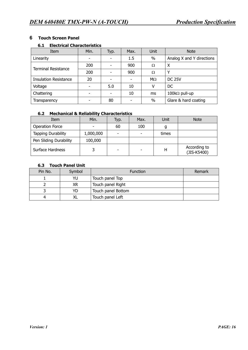# **6 Touch Screen Panel**

#### **6.1 Electrical Characteristics**

| Item                         | Min. | Typ.                     | Max.                     | Unit      | <b>Note</b>               |
|------------------------------|------|--------------------------|--------------------------|-----------|---------------------------|
| Linearity                    | ۰    |                          | 1.5                      | $\%$      | Analog X and Y directions |
| <b>Terminal Resistance</b>   | 200  |                          | 900                      | Ω         | X                         |
|                              | 200  |                          | 900                      | Ω         | ν                         |
| <b>Insulation Resistance</b> | 20   | $\overline{\phantom{0}}$ | $\overline{\phantom{0}}$ | $M\Omega$ | <b>DC 25V</b>             |
| Voltage                      |      | 5.0                      | 10                       |           | DC                        |
| Chattering                   |      |                          | 10                       | ms        | $100k\Omega$ pull-up      |
| Transparency                 |      | 80                       |                          | $\%$      | Glare & hard coating      |

### **6.2 Mechanical & Reliability Characteristics**

| Item                      | Min.      | Typ. | Max. | Unit  | <b>Note</b>                 |
|---------------------------|-----------|------|------|-------|-----------------------------|
| <b>Operation Force</b>    |           | 60   | 100  | g     |                             |
| <b>Tapping Durability</b> | 1,000,000 | -    | ٠    | times |                             |
| Pen Sliding Durability    | 100,000   |      |      |       |                             |
| Surface Hardness          |           |      | -    | н     | According to<br>(JIS-K5400) |

# **6.3 Touch Panel Unit**

| Pin No. | Symbol | <b>Function</b>    | Remark |
|---------|--------|--------------------|--------|
|         | YU     | Touch panel Top    |        |
|         | XR     | Touch panel Right  |        |
|         | YD     | Touch panel Bottom |        |
|         | XL     | Touch panel Left   |        |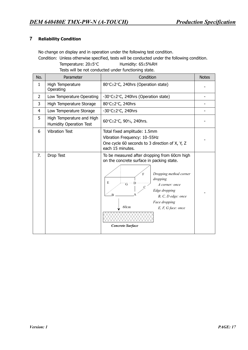# **7 Reliability Condition**

No change on display and in operation under the following test condition. Condition: Unless otherwise specified, tests will be conducted under the following condition. Temperature: 20±5°C Humidity: 65±5%RH

Tests will be not conducted under functioning state.

| No.            | Parameter                                            | Condition                                                                                                                                                                                                                                                                                             | <b>Notes</b> |
|----------------|------------------------------------------------------|-------------------------------------------------------------------------------------------------------------------------------------------------------------------------------------------------------------------------------------------------------------------------------------------------------|--------------|
| $\mathbf{1}$   | High Temperature<br>Operating                        | 80°C±2°C, 240hrs (Operation state)                                                                                                                                                                                                                                                                    |              |
| $\overline{2}$ | Low Temperature Operating                            | -30 $\textdegree$ C $\pm$ 2 $\textdegree$ C, 240hrs (Operation state)                                                                                                                                                                                                                                 |              |
| 3              | High Temperature Storage                             | 80°C±2°C, 240hrs                                                                                                                                                                                                                                                                                      |              |
| 4              | Low Temperature Storage                              | -30 $°C \pm 2°C$ , 240hrs                                                                                                                                                                                                                                                                             |              |
| 5              | High Temperature and High<br>Humidity Operation Test | 60°C±2°C, 90%, 240hrs.                                                                                                                                                                                                                                                                                |              |
| 6              | <b>Vibration Test</b>                                | Total fixed amplitude: 1.5mm<br>Vibration Frequency: 10~55Hz<br>One cycle 60 seconds to 3 direction of X, Y, Z<br>each 15 minutes.                                                                                                                                                                    |              |
| 7.             | Drop Test                                            | To be measured after dropping from 60cm high<br>on the concrete surface in packing state.<br>Dropping method corner<br>F<br>dropping<br>E<br>G<br>A corner: once<br>Edge dropping<br>$\overline{R}$<br>B, C, D edge: once<br>Face dropping<br>60cm<br>$E, F, G$ face: once<br><b>Concrete Surface</b> |              |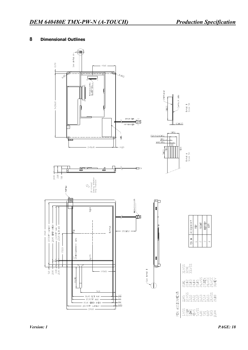# **8 Dimensional Outlines**

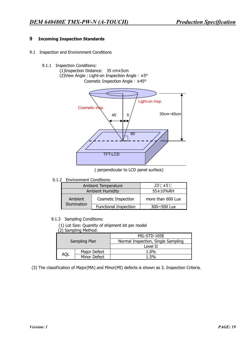# **9 Incoming Inspection Standards**

- 9.1 Inspection and Environment Conditions
	- 9.1.1 Inspection Conditions:
		- (1)Inspection Distance: 35 cm±5cm (2)View Angle : Light-on Inspection Angle︰±5° Cosmetic Inspection Angle︰±45°



( perpendicular to LCD panel surface)

9.1.2 Environment Conditions:

|                         | Ambient Temperature          | $23^\circ \text{C} \pm 5^\circ \text{C}$ |  |
|-------------------------|------------------------------|------------------------------------------|--|
|                         | <b>Ambient Humidity</b>      | 55±10%RH                                 |  |
| Ambient<br>Illumination | <b>Cosmetic Inspection</b>   | more than 600 Lux                        |  |
|                         | <b>Functional Inspection</b> | 300~500 Lux                              |  |

#### 9.1.3 Sampling Conditions:

(1) Lot Size: Quantity of shipment lot per model

| (2) Sampling Method: |  |
|----------------------|--|
|----------------------|--|

|            |               | MIL-STD-105E                       |  |  |  |
|------------|---------------|------------------------------------|--|--|--|
|            | Sampling Plan | Normal Inspection, Single Sampling |  |  |  |
|            |               | Level II                           |  |  |  |
|            | Major Defect  | 1.0%                               |  |  |  |
| <b>AQL</b> | Minor Defect  | 1.5%                               |  |  |  |

(3) The classification of Major(MA) and Minor(MI) defects is shown as 3. Inspection Criteria.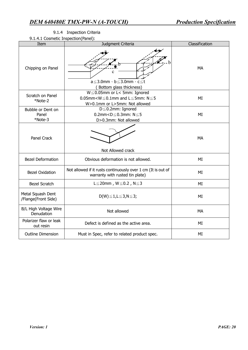| $\cdots$ . $\cdots$ coorriction in poetion, it arise,<br>Item | Judgment Criteria                                                                                                                                                  | Classification |  |  |  |  |
|---------------------------------------------------------------|--------------------------------------------------------------------------------------------------------------------------------------------------------------------|----------------|--|--|--|--|
| Chipping on Panel                                             | $a \leq 3.0$ mm · b $\leq 3.0$ mm · c $\leq t$<br>Bottom glass thickness)                                                                                          | <b>MA</b>      |  |  |  |  |
| Scratch on Panel<br>*Note-2                                   | $W \leq 0.05$ mm or L< 5mm: Ignored<br>$0.05$ mm <w<math>\leq0.1mm and L<math>\leq</math>5mm: N<math>\leq</math>5<br/>W&gt;0.1mm or L&gt;5mm: Not allowed</w<math> |                |  |  |  |  |
| Bubble or Dent on<br>Panel<br>*Note-3                         | D≤0.2mm: Ignored<br>0.2mm< $D \le 0.3$ mm: $N \le 5$<br>D>0.3mm: Not allowed                                                                                       | MI             |  |  |  |  |
| Panel Crack                                                   | Not Allowed crack                                                                                                                                                  | <b>MA</b>      |  |  |  |  |
| <b>Bezel Deformation</b>                                      | Obvious deformation is not allowed.                                                                                                                                | MI             |  |  |  |  |
| <b>Bezel Oxidation</b>                                        | Not allowed if it rusts continuously over 1 cm (It is out of<br>warranty with rusted tin plate)                                                                    | MI             |  |  |  |  |
| <b>Bezel Scratch</b>                                          | $L \leq 20$ mm, $W \leq 0.2$ , $N \leq 3$                                                                                                                          | MI             |  |  |  |  |
| Metal Squash Dent<br>/Flange(Front Side)                      | $D(W) \leq 1, L \leq 3, N \leq 3;$                                                                                                                                 | ΜI             |  |  |  |  |
| B/L High Voltage Wire<br>Denudation                           | Not allowed                                                                                                                                                        | <b>MA</b>      |  |  |  |  |
| Polarizer flaw or leak<br>out resin                           | Defect is defined as the active area.                                                                                                                              | MI             |  |  |  |  |
| <b>Outline Dimension</b>                                      | Must in Spec, refer to related product spec.                                                                                                                       | MI             |  |  |  |  |

# 9.1.4Inspection Criteria

9.1.4.1 Cosmetic Inspection(Panel):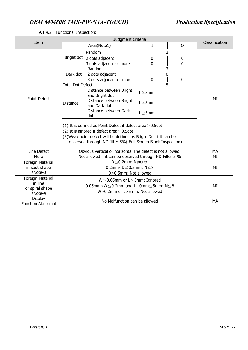| Item                                                      |                                                                                                                                                                                                                                                   | Classification                                             |               |                |           |  |
|-----------------------------------------------------------|---------------------------------------------------------------------------------------------------------------------------------------------------------------------------------------------------------------------------------------------------|------------------------------------------------------------|---------------|----------------|-----------|--|
|                                                           |                                                                                                                                                                                                                                                   |                                                            |               |                |           |  |
|                                                           |                                                                                                                                                                                                                                                   | Random                                                     |               | 2              |           |  |
|                                                           | Bright dot                                                                                                                                                                                                                                        | 2 dots adjacent                                            | 0             | $\mathbf 0$    |           |  |
|                                                           |                                                                                                                                                                                                                                                   | 3 dots adjacent or more                                    | 0             | $\overline{0}$ |           |  |
|                                                           |                                                                                                                                                                                                                                                   | Random                                                     |               | 3              |           |  |
|                                                           | Dark dot                                                                                                                                                                                                                                          | 2 dots adjacent                                            |               | 0              |           |  |
|                                                           |                                                                                                                                                                                                                                                   | 3 dots adjacent or more                                    | $\mathbf 0$   | $\mathbf 0$    |           |  |
|                                                           | <b>Total Dot Defect</b>                                                                                                                                                                                                                           |                                                            |               | 5              |           |  |
|                                                           |                                                                                                                                                                                                                                                   | Distance between Bright<br>and Bright dot                  | $L \ge 5$ mm  |                |           |  |
| Point Defect                                              | <b>Distance</b>                                                                                                                                                                                                                                   | Distance between Bright<br>and Dark dot                    | $L \geq 5$ mm |                | МI        |  |
|                                                           |                                                                                                                                                                                                                                                   | Distance between Dark<br>dot                               | $L \geq 5$ mm |                |           |  |
|                                                           | (1) It is defined as Point Defect if defect area $>$ 0.5dot<br>(2) It is ignored if defect area $\leq$ 0.5dot<br>(3) Weak point defect will be defined as Bright Dot if it can be<br>observed through ND filter 5%( Full Screen Black Inspection) |                                                            |               |                |           |  |
| Line Defect                                               |                                                                                                                                                                                                                                                   | Obvious vertical or horizontal line defect is not allowed. |               |                | <b>MA</b> |  |
| Mura                                                      |                                                                                                                                                                                                                                                   | Not allowed if it can be observed through ND Filter 5 %    |               |                | MI        |  |
| Foreign Material                                          |                                                                                                                                                                                                                                                   | $D \leq 0.2$ mm: Ignored                                   |               |                |           |  |
| in spot shape                                             |                                                                                                                                                                                                                                                   | 0.2mm< $D \leq 0.5$ mm: $N \leq 8$                         |               |                | MI        |  |
| *Note-3                                                   |                                                                                                                                                                                                                                                   |                                                            |               |                |           |  |
| Foreign Material<br>in line<br>or spiral shape<br>*Note-4 |                                                                                                                                                                                                                                                   | MI                                                         |               |                |           |  |
| <b>Display</b><br><b>Function Abnormal</b>                |                                                                                                                                                                                                                                                   | No Malfunction can be allowed                              |               |                | MA        |  |

#### 9.1.4.2 Functional Inspection: